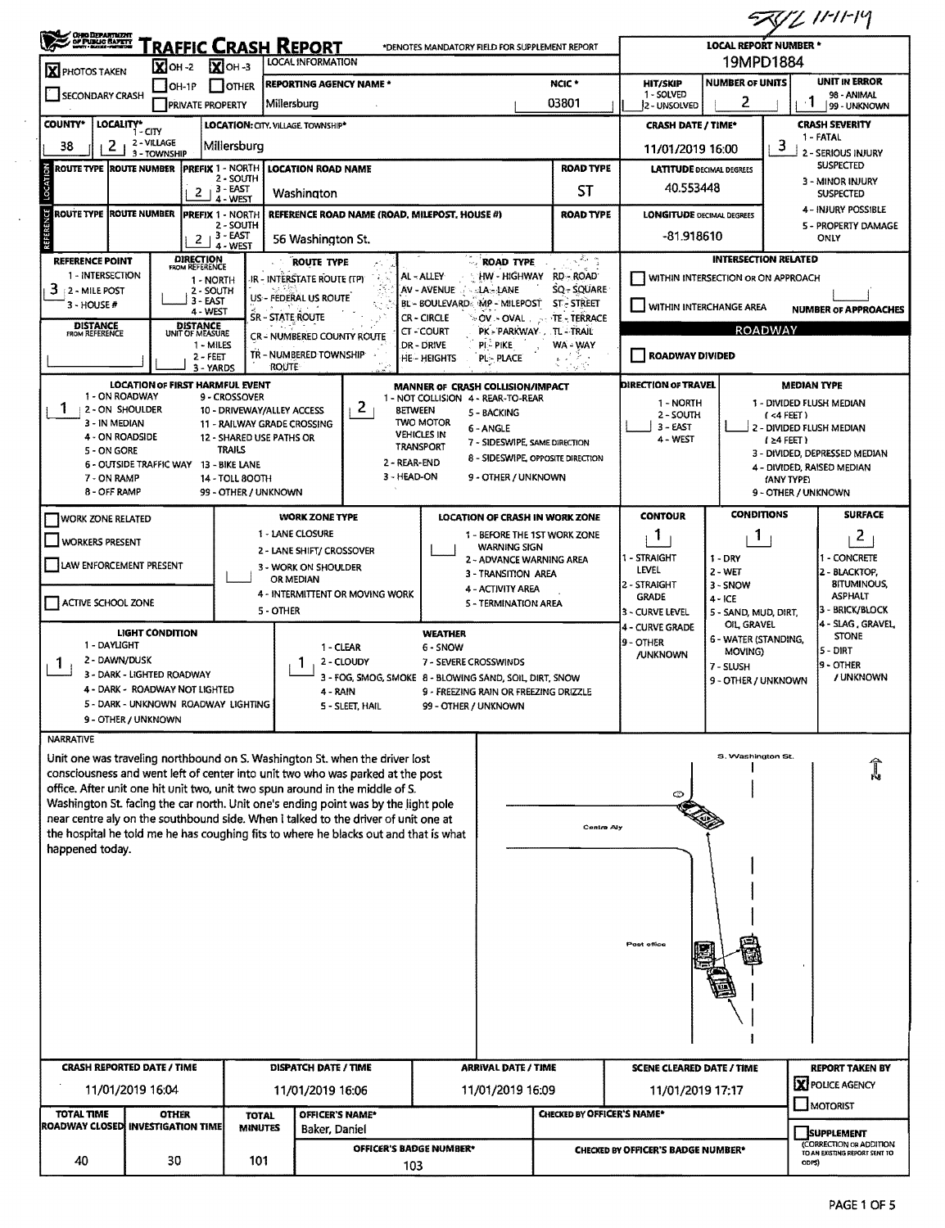52011.11-11-14

| <b>OHIO DEPARTMENT</b><br>OF PUBLIC BAFETY                                                                                                                               |                             |                                                         | <b>RAFFIC CRASH REPORT</b>                                | <b>LOCAL INFORMATION</b>                                    |                                 | *DENOTES MANDATORY FIELD FOR SUPPLEMENT REPORT                                                   |                                                 |                            |                                    | <b>LOCAL REPORT NUMBER *</b><br>19MPD1884                         |                                   |                                                                              |
|--------------------------------------------------------------------------------------------------------------------------------------------------------------------------|-----------------------------|---------------------------------------------------------|-----------------------------------------------------------|-------------------------------------------------------------|---------------------------------|--------------------------------------------------------------------------------------------------|-------------------------------------------------|----------------------------|------------------------------------|-------------------------------------------------------------------|-----------------------------------|------------------------------------------------------------------------------|
| <b>X</b> PHOTOS TAKEN                                                                                                                                                    |                             | $X$ OH-2 $X$ OH-3                                       |                                                           | <b>REPORTING AGENCY NAME *</b>                              |                                 |                                                                                                  |                                                 | NCIC <sup>+</sup>          | <b>HIT/SKIP</b>                    | <b>NUMBER OF UNITS</b>                                            |                                   | <b>UNIT IN ERROR</b>                                                         |
| <b>SECONDARY CRASH</b>                                                                                                                                                   |                             | $IOH-1P$<br><b>TOTHER</b><br><b>PRIVATE PROPERTY</b>    |                                                           | Millersburg                                                 |                                 |                                                                                                  |                                                 | 03801                      | 1 - SOLVED<br>2 - UNSOLVED         | 2                                                                 |                                   | 98 - ANIMAL<br>ı<br>99 - UNKNOWN                                             |
| LOCALITY*<br><b>COUNTY*</b>                                                                                                                                              | $1 - CITY$                  |                                                         | LOCATION: CITY, VILLAGE, TOWNSHIP*                        |                                                             |                                 |                                                                                                  |                                                 |                            | <b>CRASH DATE / TIME*</b>          |                                                                   |                                   | <b>CRASH SEVERITY</b><br>1 - FATAL                                           |
| 2<br>38                                                                                                                                                                  | 2 - VILLAGE<br>3 - TOWNSHIP |                                                         | Millersburg                                               |                                                             |                                 |                                                                                                  |                                                 |                            | 11/01/2019 16:00                   |                                                                   | 3                                 | 2 - SERIOUS INJURY                                                           |
| <b>ROUTE TYPE ROUTE NUMBER</b>                                                                                                                                           |                             | <b>PREFIX 1 - NORTH</b>                                 | 2 - SOUTH                                                 | <b>LOCATION ROAD NAME</b>                                   |                                 |                                                                                                  |                                                 | <b>ROAD TYPE</b>           | <b>LATITUDE DECIMAL DEGREES</b>    |                                                                   |                                   | <b>SUSPECTED</b><br>3 - MINOR INJURY                                         |
|                                                                                                                                                                          |                             | $+3 - EAST$<br>2                                        | 4 - West                                                  | Washington                                                  |                                 |                                                                                                  |                                                 | ST                         | 40.553448                          |                                                                   |                                   | <b>SUSPECTED</b>                                                             |
| <b>ROUTE TYPE ROUTE NUMBER</b>                                                                                                                                           |                             | <b>PREFIX 1 - NORTH</b>                                 | 2 - SOUTH                                                 |                                                             |                                 | REFERENCE ROAD NAME (ROAD, MILEPOST, HOUSE #)                                                    |                                                 | ROAD TYPE                  | <b>LONGITUDE OECIMAL DEGREES</b>   |                                                                   |                                   | 4 - INJURY POSSIBLE<br>5 - PROPERTY DAMAGE                                   |
|                                                                                                                                                                          |                             | $2+3-EAST$                                              | 4 - WEST                                                  | 56 Washington St.                                           |                                 |                                                                                                  |                                                 |                            | -81.918610                         |                                                                   |                                   | ONLY                                                                         |
| <b>REFERENCE POINT</b><br>1 - INTERSECTION                                                                                                                               |                             | <b>DIRECTION</b><br>FROM REFERENCE<br>1 - NORTH         |                                                           | <b>ROUTE TYPE</b><br>IR - INTERSTATE ROUTE (TP)             |                                 | AL-ALLEY                                                                                         | <b>ROAD TYPE</b><br>HW - HIGHWAY                | にちゃ<br>RD - ROAD           |                                    | <b>INTERSECTION RELATED</b><br>WITHIN INTERSECTION OR ON APPROACH |                                   |                                                                              |
| 3<br>2 - MILE POST<br>3 - HOUSE #                                                                                                                                        |                             | 2 - SOUTH<br>$3 - EAST$                                 |                                                           | US - FEDERAL US ROUTE                                       |                                 | AV - AVENUE<br>BL-BOULEVARD MP-MILEPOST ST-STREET                                                | <b>ALA-LANE</b>                                 | SQ - SQUARE                | WITHIN INTERCHANGE AREA            |                                                                   |                                   |                                                                              |
| <b>DISTANCE</b><br>FROM REFERENCE                                                                                                                                        |                             | 4 - WEST<br><b>DISTANCE</b><br>UNIT OF MEASURE          | <b>SR - STATE ROUTE</b>                                   |                                                             |                                 | <b>CR-CIRCLE</b>                                                                                 | $\sim$ OV $\sim$ OVAL $_{\odot}$ $\sim$         | TE - TERRACE               |                                    | <b>ROADWAY</b>                                                    |                                   | <b>NUMBER OF APPROACHES</b>                                                  |
|                                                                                                                                                                          |                             | 1 - MILES                                               |                                                           | <b>CR - NUMBERED COUNTY ROUTE</b><br>TR - NUMBERED TOWNSHIP |                                 | <b>CT-COURT</b><br>DR - DRIVE                                                                    | PK - PARKWAY . TL - TRAIL<br>PI-PIKE            | WA - WAY                   |                                    |                                                                   |                                   |                                                                              |
|                                                                                                                                                                          |                             | 2 - FEET<br>3 - YARDS                                   | <b>ROUTE</b>                                              |                                                             |                                 | HE - HEIGHTS                                                                                     | PL - PLACE                                      |                            | <b>ROADWAY DIVIDED</b>             |                                                                   |                                   |                                                                              |
| 1 - ON ROADWAY                                                                                                                                                           |                             | <b>LOCATION OF FIRST HARMFUL EVENT</b><br>9 - CROSSOVER |                                                           |                                                             |                                 | MANNER OF CRASH COLLISION/IMPACT<br>1 - NOT COLLISION 4 - REAR-TO-REAR                           |                                                 |                            | DIRECTION OF TRAVEL                |                                                                   |                                   | <b>MEDIAN TYPE</b><br>1 - DIVIDED FLUSH MEDIAN                               |
| $\mathbf{1}$<br>2 - ON SHOULDER<br>3 - IN MEDIAN                                                                                                                         |                             |                                                         | 10 - DRIVEWAY/ALLEY ACCESS<br>11 - RAILWAY GRADE CROSSING |                                                             | 2                               | <b>BETWEEN</b><br><b>TWO MOTOR</b>                                                               | 5 - BACKING                                     |                            | 1 - NORTH<br>2 - SOUTH<br>3 - EAST |                                                                   | $($ <4 FEET)                      |                                                                              |
| 4 - ON ROADSIDE<br>5 - ON GORE                                                                                                                                           |                             | TRAILS                                                  | 12 - SHARED USE PATHS OR                                  |                                                             |                                 | 6 - ANGLE<br><b>VEHICLES IN</b><br><b>TRANSPORT</b>                                              | 7 - SIDESWIPE, SAME DIRECTION                   |                            | 4 - WEST                           |                                                                   | $124$ FEET)                       | 2 - DIVIDED FLUSH MEDIAN                                                     |
|                                                                                                                                                                          |                             | 6 - OUTSIDE TRAFFIC WAY 13 - BIKE LANE                  |                                                           |                                                             |                                 | 2 - REAR-END                                                                                     | 8 - SIDESWIPE, OPPOSITE DIRECTION               |                            |                                    |                                                                   |                                   | 3 - DIVIDED, DEPRESSED MEDIAN<br>4 - DIVIDED, RAISED MEDIAN                  |
| 7 - ON RAMP<br>8 - OFF RAMP                                                                                                                                              |                             |                                                         | 14 - TOLL 800TH<br>99 - OTHER / UNKNOWN                   |                                                             |                                 | 3 - HEAD-ON                                                                                      | 9 - OTHER / UNKNOWN                             |                            |                                    |                                                                   | (ANY TYPE)<br>9 - OTHER / UNKNOWN |                                                                              |
| <b>WORK ZONE RELATED</b>                                                                                                                                                 |                             |                                                         |                                                           | <b>WORK ZONE TYPE</b>                                       |                                 |                                                                                                  | LOCATION OF CRASH IN WORK ZONE                  |                            | <b>CONTOUR</b>                     | <b>CONDITIONS</b>                                                 |                                   | <b>SURFACE</b>                                                               |
| <b>WORKERS PRESENT</b>                                                                                                                                                   |                             |                                                         |                                                           | 1 - LANE CLOSURE<br>2 - LANE SHIFT/ CROSSOVER               |                                 |                                                                                                  | 1 - BEFORE THE 1ST WORK ZONE<br>WARNING SIGN    |                            | 1                                  | Т.                                                                |                                   | 2                                                                            |
| LAW ENFORCEMENT PRESENT                                                                                                                                                  |                             |                                                         |                                                           | 3 - WORK ON SHOULDER                                        |                                 |                                                                                                  | 2 - ADVANCE WARNING AREA<br>3 - TRANSITION AREA |                            | 1 - STRAIGHT<br>LEVEL              | $1 - DRY$<br>2 - WET                                              |                                   | - CONCRETE<br>2 - BLACKTOP,                                                  |
|                                                                                                                                                                          |                             |                                                         |                                                           | OR MEDIAN                                                   | 4 - INTERMITTENT OR MOVING WORK |                                                                                                  | 4 - ACTIVITY AREA                               |                            | 2 - STRAIGHT<br><b>GRADE</b>       | 3 - SNOW<br>$4 - ICE$                                             |                                   | <b>BITUMINOUS,</b><br><b>ASPHALT</b>                                         |
| ACTIVE SCHOOL ZONE                                                                                                                                                       |                             |                                                         | 5 - OTHER                                                 |                                                             |                                 |                                                                                                  | 5 - TERMINATION AREA                            |                            | 3 - CURVE LEVEL                    | 5 - SAND, MUD, DIRT,<br>OIL, GRAVEL                               |                                   | 3 - BRICK/BLOCK<br>4 - SLAG, GRAVEL                                          |
| 1 - DAYLIGHT                                                                                                                                                             | LIGHT CONDITION             |                                                         |                                                           | 1 - CLEAR                                                   |                                 | <b>WEATHER</b><br>6 - SNOW                                                                       |                                                 |                            | 4 - CURVE GRADE<br>9 - OTHER       | 6 - WATER (STANDING,                                              |                                   | <b>STONE</b>                                                                 |
| 2 - DAWN/DUSK<br>1                                                                                                                                                       |                             |                                                         |                                                           |                                                             | 2 - CLOUDY                      | 7 - SEVERE CROSSWINDS                                                                            |                                                 |                            | <b>/UNKNOWN</b>                    | MOVING)<br>7 - SLUSH                                              |                                   | $5 - DIRT$<br>19 - OTHER                                                     |
|                                                                                                                                                                          | 3 - DARK - LIGHTED ROADWAY  | 4 - DARK - ROADWAY NOT LIGHTED                          |                                                           | 4 - RAIN                                                    |                                 | 3 - FOG, SMOG, SMOKE 8 - BLOWING SAND, SOIL, DIRT, SNOW<br>9 - FREEZING RAIN OR FREEZING DRIZZLE |                                                 |                            |                                    | 9 - OTHER / UNKNOWN                                               |                                   | / UNKNOWN                                                                    |
|                                                                                                                                                                          | 9 - OTHER / UNKNOWN         | 5 - DARK - UNKNOWN ROADWAY LIGHTING                     |                                                           |                                                             | 5 - SLEET, HAIL                 | 99 - OTHER / UNKNOWN                                                                             |                                                 |                            |                                    |                                                                   |                                   |                                                                              |
| <b>NARRATIVE</b>                                                                                                                                                         |                             |                                                         |                                                           |                                                             |                                 |                                                                                                  |                                                 |                            |                                    |                                                                   |                                   |                                                                              |
| Unit one was traveling northbound on S. Washington St. when the driver lost                                                                                              |                             |                                                         |                                                           |                                                             |                                 |                                                                                                  |                                                 |                            |                                    | S. Washington St.                                                 |                                   | î                                                                            |
| consciousness and went left of center into unit two who was parked at the post<br>office. After unit one hit unit two, unit two spun around in the middle of S.          |                             |                                                         |                                                           |                                                             |                                 |                                                                                                  |                                                 |                            | ⊙                                  |                                                                   |                                   |                                                                              |
| Washington St. facing the car north. Unit one's ending point was by the light pole<br>near centre aly on the southbound side. When i talked to the driver of unit one at |                             |                                                         |                                                           |                                                             |                                 |                                                                                                  |                                                 |                            |                                    |                                                                   |                                   |                                                                              |
| the hospital he told me he has coughing fits to where he blacks out and that is what                                                                                     |                             |                                                         |                                                           |                                                             |                                 |                                                                                                  |                                                 | Centre Aly                 |                                    |                                                                   |                                   |                                                                              |
| happened today.                                                                                                                                                          |                             |                                                         |                                                           |                                                             |                                 |                                                                                                  |                                                 |                            |                                    |                                                                   |                                   |                                                                              |
|                                                                                                                                                                          |                             |                                                         |                                                           |                                                             |                                 |                                                                                                  |                                                 |                            |                                    |                                                                   |                                   |                                                                              |
|                                                                                                                                                                          |                             |                                                         |                                                           |                                                             |                                 |                                                                                                  |                                                 |                            |                                    |                                                                   |                                   |                                                                              |
|                                                                                                                                                                          |                             |                                                         |                                                           |                                                             |                                 |                                                                                                  |                                                 |                            |                                    |                                                                   |                                   |                                                                              |
|                                                                                                                                                                          |                             |                                                         |                                                           |                                                             |                                 |                                                                                                  |                                                 |                            |                                    |                                                                   |                                   |                                                                              |
|                                                                                                                                                                          |                             |                                                         |                                                           |                                                             |                                 |                                                                                                  |                                                 |                            | Post office                        |                                                                   |                                   |                                                                              |
|                                                                                                                                                                          |                             |                                                         |                                                           |                                                             |                                 |                                                                                                  |                                                 |                            |                                    |                                                                   |                                   |                                                                              |
|                                                                                                                                                                          |                             |                                                         |                                                           |                                                             |                                 |                                                                                                  |                                                 |                            |                                    |                                                                   |                                   |                                                                              |
|                                                                                                                                                                          |                             |                                                         |                                                           |                                                             |                                 |                                                                                                  |                                                 |                            |                                    |                                                                   |                                   |                                                                              |
|                                                                                                                                                                          |                             |                                                         |                                                           |                                                             |                                 |                                                                                                  |                                                 |                            |                                    |                                                                   |                                   |                                                                              |
| <b>CRASH REPORTED DATE / TIME</b>                                                                                                                                        |                             |                                                         |                                                           | DISPATCH DATE / TIME                                        |                                 |                                                                                                  | <b>ARRIVAL DATE / TIME</b>                      |                            | <b>SCENE CLEARED DATE / TIME</b>   |                                                                   |                                   | <b>X</b> POLICE AGENCY                                                       |
|                                                                                                                                                                          | 11/01/2019 16:04            |                                                         |                                                           | 11/01/2019 16:06                                            |                                 |                                                                                                  | 11/01/2019 16:09                                |                            | 11/01/2019 17:17                   |                                                                   |                                   | MOTORIST                                                                     |
| <b>TOTAL TIME</b><br>ROADWAY CLOSED INVESTIGATION TIME                                                                                                                   | <b>OTHER</b>                |                                                         | <b>TOTAL</b><br><b>MINUTES</b>                            | OFFICER'S NAME*<br>Baker, Daniel                            |                                 |                                                                                                  |                                                 | CHECKED BY OFFICER'S NAME* |                                    |                                                                   |                                   | <b>REPORT TAKEN BY</b><br><b>SUPPLEMENT</b><br><b>CORRECTION OR ADDITION</b> |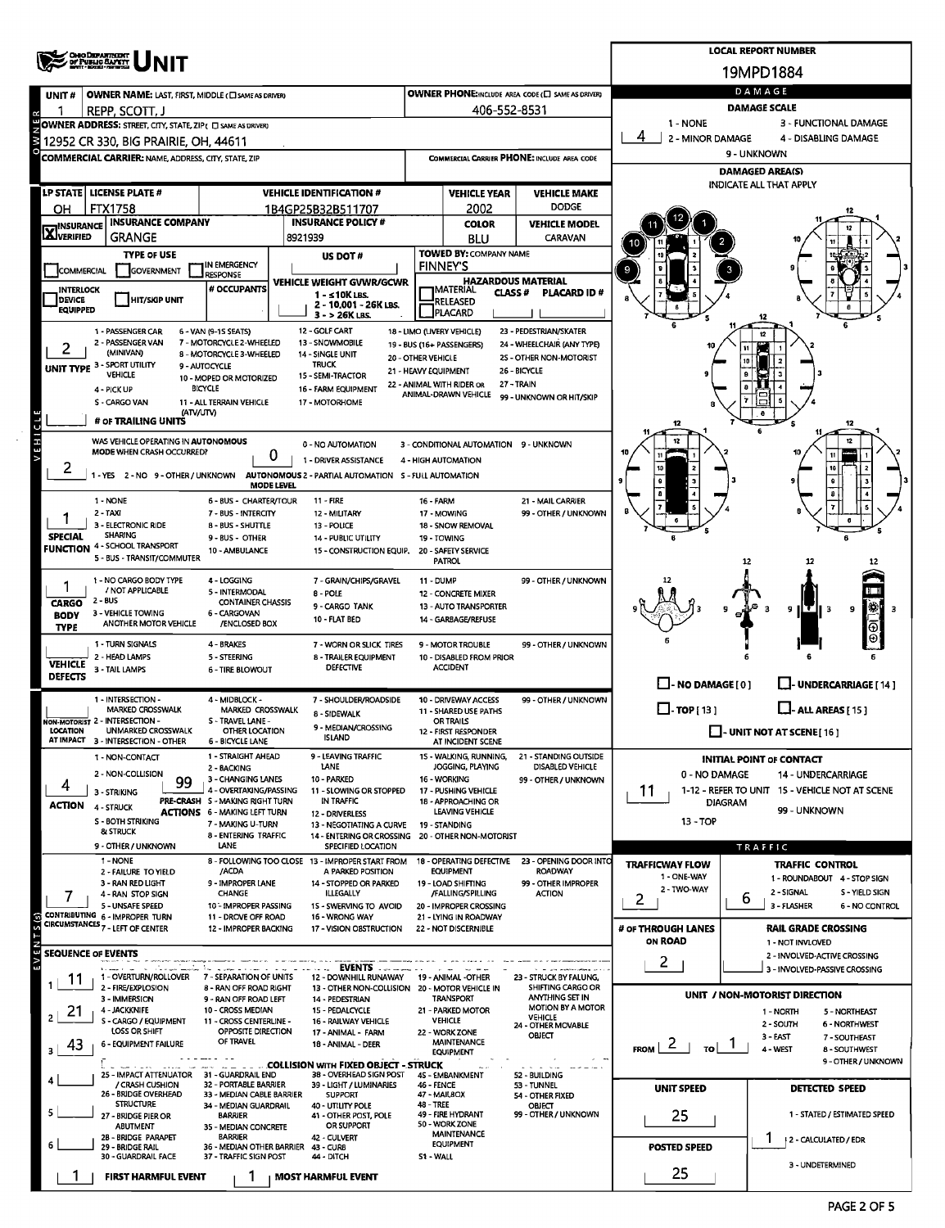|                                   | <b>CHO DEPARTMENT</b><br>OF PUBLIC CAPETY                                                           |                                                                        |                                                                                            |                                             |                                                         |                                                      |                                                          | <b>LOCAL REPORT NUMBER</b>                                   |  |  |  |  |
|-----------------------------------|-----------------------------------------------------------------------------------------------------|------------------------------------------------------------------------|--------------------------------------------------------------------------------------------|---------------------------------------------|---------------------------------------------------------|------------------------------------------------------|----------------------------------------------------------|--------------------------------------------------------------|--|--|--|--|
|                                   |                                                                                                     |                                                                        |                                                                                            |                                             |                                                         |                                                      |                                                          | 19MPD1884                                                    |  |  |  |  |
| UNIT#                             | OWNER NAME: LAST, FIRST, MIDDLE (C) SAME AS DRIVER)                                                 |                                                                        |                                                                                            |                                             |                                                         | OWNER PHONE: INCLUDE AREA CODE (C) SAME AS DRIVER)   |                                                          | DAMAGE                                                       |  |  |  |  |
|                                   | REPP, SCOTT, J                                                                                      |                                                                        |                                                                                            |                                             | 406-552-8531                                            |                                                      | <b>DAMAGE SCALE</b><br>1 - NONE<br>3 - FUNCTIONAL DAMAGE |                                                              |  |  |  |  |
|                                   | OWNER ADDRESS: STREET, CITY, STATE, ZIP ( O SAME AS DRIVER)<br>12952 CR 330, BIG PRAIRIE, OH, 44611 |                                                                        |                                                                                            |                                             |                                                         |                                                      | 2 - MINOR DAMAGE                                         | 4 - DISABLING DAMAGE                                         |  |  |  |  |
|                                   | <b>COMMERCIAL CARRIER: NAME, ADDRESS, CITY, STATE, ZIP</b>                                          |                                                                        |                                                                                            | COMMERCIAL CARRIER PHONE: INCLUDE AREA CODE |                                                         |                                                      | 9 - UNKNOWN                                              |                                                              |  |  |  |  |
|                                   |                                                                                                     |                                                                        |                                                                                            |                                             |                                                         |                                                      | <b>DAMAGED AREA(S)</b><br>INDICATE ALL THAT APPLY        |                                                              |  |  |  |  |
|                                   | LP STATE   LICENSE PLATE #                                                                          |                                                                        | <b>VEHICLE IDENTIFICATION #</b>                                                            |                                             | <b>VEHICLE YEAR</b>                                     | <b>VEHICLE MAKE</b>                                  |                                                          |                                                              |  |  |  |  |
| он                                | <b>FTX1758</b><br><b>INSURANCE COMPANY</b>                                                          |                                                                        | 1B4GP25B32B511707<br><b>INSURANCE POLICY #</b>                                             |                                             | 2002<br><b>COLOR</b>                                    | <b>DODGE</b><br><b>VEHICLE MODEL</b>                 |                                                          |                                                              |  |  |  |  |
| <b>X</b> INSURANCE                | <b>GRANGE</b>                                                                                       |                                                                        | 8921939                                                                                    |                                             | <b>BLU</b>                                              | CARAVAN                                              |                                                          |                                                              |  |  |  |  |
|                                   | <b>TYPE OF USE</b>                                                                                  | IN EMERGENCY                                                           | US DOT#                                                                                    |                                             | <b>TOWED BY: COMPANY NAME</b><br><b>FINNEY'S</b>        |                                                      |                                                          |                                                              |  |  |  |  |
| COMMERCIAL                        | GOVERNMENT                                                                                          | <b>RESPONSE</b>                                                        | VEHICLE WEIGHT GVWR/GCWR                                                                   |                                             | <b>HAZARDOUS MATERIAL</b>                               |                                                      |                                                          |                                                              |  |  |  |  |
| <b>INTERLOCK</b><br><b>DEVICE</b> | <b>HIT/SIGP UNIT</b>                                                                                | # OCCUPANTS                                                            | $1 -$ < 10K LBS.<br>2 - 10,001 - 26K LBS.                                                  |                                             | MATERIAL<br>CLASS #<br>RELEASED                         | <b>PLACARD ID#</b>                                   |                                                          |                                                              |  |  |  |  |
| <b>EQUIPPED</b>                   |                                                                                                     |                                                                        | 3 - > 26K LBS.                                                                             |                                             | <b>JPLACARD</b>                                         |                                                      |                                                          |                                                              |  |  |  |  |
|                                   | 1 - PASSENGER CAR<br>2 - PASSENGER VAN                                                              | 6 - VAN (9-15 SEATS)<br>7 - MOTORCYCLE 2-WHEELED                       | 12 - GOLF CART<br>13 - SNOWMOBILE                                                          |                                             | 18 - LIMO (LIVERY VEHICLE)<br>19 - BUS (16+ PASSENGERS) | 23 - PEDESTRIAN/SKATER<br>24 - WHEELCHAIR (ANY TYPE) |                                                          | 12                                                           |  |  |  |  |
| 2                                 | (MINIVAN)<br>UNIT TYPE 3 - SPORT UTILITY                                                            | 8 - MOTORCYCLE 3-WHEELED<br>9 - AUTOCYCLE                              | 14 - SINGLE UNIT<br><b>TRUCK</b>                                                           | 20 - OTHER VEHICLE                          |                                                         | 25 - OTHER NON-MOTORIST                              |                                                          |                                                              |  |  |  |  |
|                                   | <b>VEHICLE</b>                                                                                      | 10 - MOPED OR MOTORIZED                                                | 15 - SEMI-TRACTOR                                                                          | 21 - HEAVY EQUIPMENT                        | 22 - ANIMAL WITH RIDER OR                               | 26 - BICYCLE<br>27 - TRAIN                           |                                                          |                                                              |  |  |  |  |
|                                   | 4 - PICK UP<br>S - CARGO VAN                                                                        | <b>BICYCLE</b><br>11 - ALL TERRAIN VEHICLE                             | 16 - FARM EQUIPMENT<br>17 - MOTORHOME                                                      |                                             | ANIMAL-DRAWN VEHICLE                                    | 99 - UNKNOWN OR HIT/SKIP                             |                                                          |                                                              |  |  |  |  |
|                                   | (ATV/UTV)<br># OF TRAILING UNITS                                                                    |                                                                        |                                                                                            |                                             |                                                         |                                                      |                                                          |                                                              |  |  |  |  |
| VEHICL                            | WAS VEHICLE OPERATING IN AUTONOMOUS                                                                 |                                                                        | 0 - NO AUTOMATION                                                                          |                                             | 3 - CONDITIONAL AUTOMATION 9 - UNKNOWN                  |                                                      |                                                          | 12                                                           |  |  |  |  |
|                                   | MODE WHEN CRASH OCCURRED?                                                                           | 0                                                                      | 1 - DRIVER ASSISTANCE                                                                      |                                             | 4 - HIGH AUTOMATION                                     |                                                      |                                                          |                                                              |  |  |  |  |
| $\overline{a}$                    | 1 - YES 2 - NO 9 - OTHER / UNKNOWN                                                                  | <b>MODE LEVEL</b>                                                      | AUTONOMOUS 2 - PARTIAL AUTOMATION 5 - FULL AUTOMATION                                      |                                             |                                                         |                                                      |                                                          |                                                              |  |  |  |  |
|                                   | 1 - NONE                                                                                            | 6 - BUS - CHARTER/TOUR                                                 | $11 - FIRE$                                                                                | 16 - FARM                                   |                                                         | 21 - MAIL CARRIER                                    |                                                          |                                                              |  |  |  |  |
|                                   | 2 - TAXI<br>3 - ELECTRONIC RIDE                                                                     | 7 - BUS - INTERCITY                                                    | 12 - MILITARY                                                                              |                                             | 17 - MOWING                                             | 99 - OTHER / UNKNOWN                                 |                                                          |                                                              |  |  |  |  |
| <b>SPECIAL</b>                    | <b>SHARING</b>                                                                                      | 8 - BUS - SHUTTLE<br>9 - BUS - OTHER                                   | 13 - POLICE<br>14 - PUBLIC UTILITY                                                         | 19 - TOWING                                 | 18 - SNOW REMOVAL                                       |                                                      |                                                          |                                                              |  |  |  |  |
|                                   | <b>FUNCTION 4 - SCHOOL TRANSPORT</b><br>5 - BUS - TRANSIT/COMMUTER                                  | 10 - AMBULANCE                                                         | 15 - CONSTRUCTION EQUIP.                                                                   |                                             | 20 - SAFETY SERVICE<br><b>PATROL</b>                    |                                                      |                                                          | -12<br>12                                                    |  |  |  |  |
|                                   | 1 - NO CARGO BODY TYPE                                                                              | 4 - LOGGING                                                            | 7 - GRAIN/CHIPS/GRAVEL                                                                     | 11 - DUMP                                   |                                                         | 99 - OTHER / UNKNOWN                                 |                                                          |                                                              |  |  |  |  |
|                                   | / NOT APPLICABLE<br>$2 - BUS$                                                                       | 5 - INTERMODAL                                                         | 8 - POLE                                                                                   |                                             | 12 - CONCRETE MIXER                                     |                                                      |                                                          |                                                              |  |  |  |  |
| <b>CARGO</b><br><b>BODY</b>       | 3 - VEHICLE TOWING                                                                                  | <b>CONTAINER CHASSIS</b><br>6 - CARGOVAN                               | 9 - CARGO TANK<br>10 - FLAT BED                                                            |                                             | 13 - AUTO TRANSPORTER<br>14 - GARBAGE/REFUSE            |                                                      |                                                          | 鐴<br>э<br>э<br>9<br>3                                        |  |  |  |  |
| <b>TYPE</b>                       | ANOTHER MOTOR VEHICLE                                                                               | /ENCLOSED BOX                                                          |                                                                                            |                                             |                                                         |                                                      |                                                          |                                                              |  |  |  |  |
|                                   | 1 - TURN SIGNALS<br>2 - HEAD LAMPS                                                                  | 4 - BRAKES<br>5 - STEERING                                             | 7 - WORN OR SLICK TIRES<br>8 - TRAILER EQUIPMENT                                           |                                             | 9 - MOTOR TROUBLE<br>10 - DISABLED FROM PRIOR           | 99 - OTHER / UNKNOWN                                 |                                                          |                                                              |  |  |  |  |
| <b>VEHICLE</b><br><b>DEFECTS</b>  | 3 TAIL LAMPS                                                                                        | <b>6 - TIRE BLOWOUT</b>                                                | <b>DEFECTIVE</b>                                                                           |                                             | <b>ACCIDENT</b>                                         |                                                      |                                                          |                                                              |  |  |  |  |
|                                   | 1 - INTERSECTION -                                                                                  | 4 - MIDBLOCK -                                                         | 7 - SHOULDER/ROADSIDE                                                                      |                                             | 10 - DRIVEWAY ACCESS                                    | 99 - OTHER / UNKNOWN                                 | $\Box$ - NO DAMAGE [0]                                   | <b>UNDERCARRIAGE [14]</b>                                    |  |  |  |  |
|                                   | <b>MARKED CROSSWALK</b>                                                                             | MARKED CROSSWALK                                                       | 8 - SIDEWALK                                                                               |                                             | 11 - SHARED USE PATHS                                   |                                                      | $\Box$ TOP [13]                                          | $L$ -ALL AREAS [15]                                          |  |  |  |  |
| <b>LOCATION</b>                   | NON-MOTORIST 2 - INTERSECTION -<br><b>UNMARKED CROSSWALK</b>                                        | S - TRAVEL LANE -<br>OTHER LOCATION                                    | 9 - MEDIAN/CROSSING<br><b>ISLAND</b>                                                       |                                             | <b>OR TRAILS</b><br>- FIRST RESPONDER                   |                                                      |                                                          | $\Box$ - UNIT NOT AT SCENE [16]                              |  |  |  |  |
|                                   | AT IMPACT 3 - INTERSECTION - OTHER<br>1 - NON-CONTACT                                               | <b>6 - BICYCLE LANE</b><br>1 - STRAIGHT AHEAD                          | 9 - LEAVING TRAFFIC                                                                        |                                             | AT INCIDENT SCENE<br>15 - WALKING, RUNNING,             | 21 - STANDING OUTSIDE                                |                                                          | <b>INITIAL POINT OF CONTACT</b>                              |  |  |  |  |
|                                   | 2 - NON-COLLISION                                                                                   | 2 - BACKING                                                            | LANE<br>10 - PARKED                                                                        |                                             | JOGGING, PLAYING<br>16 - WORKING                        | DISABLED VEHICLE                                     | 0 - NO DAMAGE                                            | <b>14 - UNDERCARRIAGE</b>                                    |  |  |  |  |
| 4                                 | 99<br>3 - STRIKING                                                                                  | 3 - CHANGING LANES<br>4 - OVERTAKING/PASSING                           | 11 - SLOWING OR STOPPED                                                                    |                                             | 17 - PUSHING VEHICLE                                    | 99 - OTHER / UNKNOWN                                 | 11                                                       | 1-12 - REFER TO UNIT 15 - VEHICLE NOT AT SCENE               |  |  |  |  |
| <b>ACTION</b>                     | 4 - STRUCK                                                                                          | PRE-CRASH S - MAKING RIGHT TURN<br><b>ACTIONS 6 - MAKING LEFT TURN</b> | IN TRAFFIC<br>12 - DRIVERLESS                                                              |                                             | 18 - APPROACHING OR<br>LEAVING VEHICLE                  |                                                      | DIAGRAM                                                  | 99 - UNKNOWN                                                 |  |  |  |  |
|                                   | <b>S-BOTH STRIKING</b><br>& STRUCK                                                                  | 7 - MAKING U-TURN<br>8 - ENTERING TRAFFIC                              | 13 - NEGOTIATING A CURVE<br>14 - ENTERING OR CROSSING 20 - OTHER NON-MOTORIST              |                                             | 19 - STANDING                                           |                                                      | $13 - TOP$                                               |                                                              |  |  |  |  |
|                                   | 9 - OTHER / UNKNOWN                                                                                 | LANE                                                                   | SPECIFIED LOCATION                                                                         |                                             |                                                         |                                                      |                                                          | <b>TRAFFIC</b>                                               |  |  |  |  |
|                                   | 1 - NONE<br>2 - FAILURE TO YIELD                                                                    | /ACDA                                                                  | 8 - FOLLOWING TOO CLOSE 13 - IMPROPER START FROM<br>A PARKED POSITION                      |                                             | 18 - OPERATING DEFECTIVE<br><b>EQUIPMENT</b>            | 23 - OPENING DOOR INTO<br><b>ROADWAY</b>             | <b>TRAFFICWAY FLOW</b><br>1 - ONE-WAY                    | <b>TRAFFIC CONTROL</b>                                       |  |  |  |  |
|                                   | 3 - RAN RED LIGHT<br>4 - RAN STOP SIGN                                                              | 9 - IMPROPER LANE<br><b>CHANGE</b>                                     | 14 - STOPPED OR PARKED<br><b>ILLEGALLY</b>                                                 |                                             | 19 - LOAD SHIFTING<br>/FALLING/SPILLING                 | 99 - OTHER IMPROPER<br><b>ACTION</b>                 | 2 - TWO-WAY                                              | 1 - ROUNDABOUT 4 - STOP SIGN<br>2 - SIGNAL<br>S - YIELD SIGN |  |  |  |  |
|                                   | 5 - UNSAFE SPEED<br>CONTRIBUTING 6 - IMPROPER TURN                                                  | 10 - IMPROPER PASSING<br>11 - DROVE OFF ROAD                           | 1S - SWERVING TO AVOID<br>16 - WRONG WAY                                                   |                                             | 20 - IMPROPER CROSSING<br>21 - LYING IN ROADWAY         |                                                      | 2.                                                       | b<br>3 - FLASHER<br>6 - NO CONTROL                           |  |  |  |  |
| $\overline{S}(s)$                 | CIRCUMSTANCES <sub>7</sub> - LEFT OF CENTER                                                         | 12 - IMPROPER BACKING                                                  | 17 - VISION OBSTRUCTION                                                                    |                                             | 22 - NOT DISCERNIBLE                                    |                                                      | # OF THROUGH LANES                                       | <b>RAIL GRADE CROSSING</b>                                   |  |  |  |  |
| E                                 | <b>SEQUENCE OF EVENTS</b>                                                                           |                                                                        |                                                                                            |                                             |                                                         |                                                      | <b>ON ROAD</b>                                           | 1 - NOT INVLOVED<br>2 - INVOLVED-ACTIVE CROSSING             |  |  |  |  |
|                                   |                                                                                                     |                                                                        | <b>EVENTS</b>                                                                              |                                             |                                                         |                                                      | $\mathbf{2}^{\prime}$                                    | 3 - INVOLVED-PASSIVE CROSSING                                |  |  |  |  |
| 11                                | 1 - OVERTURN/ROLLOVER<br>2 - FIRE/EXPLOSION                                                         | 7 - SEPARATION OF UNITS<br>8 - RAN OFF ROAD RIGHT                      | 12 - DOWNHILL RUNAWAY 19 - ANIMAL -OTHER<br>13 - OTHER NON-COLLISION 20 - MOTOR VEHICLE IN |                                             |                                                         | 23 - STRUCK BY FALUNG,<br>SHIFTING CARGO OR          |                                                          | UNIT / NON-MOTORIST DIRECTION                                |  |  |  |  |
| 21                                | 3 - IMMERSION<br>4 - JACKKNIFE                                                                      | 9 - RAN OFF ROAD LEFT<br>10 - CROSS MEDIAN                             | 14 - PEDESTRIAN<br>15 - PEDALCYCLE                                                         |                                             | <b>TRANSPORT</b><br>21 - PARKED MOTOR                   | <b>ANYTHING SET IN</b><br><b>MOTION BY A MOTOR</b>   |                                                          | 1 - NORTH<br>5 - NORTHEAST                                   |  |  |  |  |
|                                   | S - CARGO / EQUIPMENT<br>LOSS OR SHIFT                                                              | 11 - CROSS CENTERLINE -<br>OPPOSITE DIRECTION                          | 16 - RAILWAY VEHICLE<br>17 - ANIMAL - FARM                                                 |                                             | <b>VEHICLE</b><br>22 - WORK ZONE                        | <b>VEHICLE</b><br>24 - OTHER MOVABLE                 |                                                          | 2 - SOUTH<br>6 - NORTHWEST                                   |  |  |  |  |
| 43                                | 6 - EQUIPMENT FAILURE                                                                               | OF TRAVEL                                                              | 18 - ANIMAL - DEER                                                                         |                                             | <b>MAINTENANCE</b><br><b>EQUIPMENT</b>                  | ONECT                                                | $\mathbf{Z}$<br>FROM  <br>τoΙ                            | 3 - EAST<br>7 - SOUTHEAST<br>4 - WEST<br>8 - SOUTHWEST       |  |  |  |  |
|                                   |                                                                                                     |                                                                        | . COLLISION WITH FIXED OBJECT - STRUCK                                                     |                                             |                                                         |                                                      |                                                          | 9 - OTHER / UNKNOWN                                          |  |  |  |  |
|                                   | 25 - IMPACT ATTENUATOR 31 - GUARDRAIL END<br>/ CRASH CUSHION                                        | <b>32 - PORTABLE BARRIER</b>                                           | 38 - OVERHEAD SIGN POST<br>39 - LIGHT / LUMINARIES                                         | 46 - FENCE                                  | 45 - EMBANKMENT                                         | 52 - BUILDING<br>53 - TUNNEL                         | <b>UNIT SPEED</b>                                        | <b>DETECTED SPEED</b>                                        |  |  |  |  |
|                                   | 26 - BRIDGE OVERHEAD<br><b>STRUCTURE</b>                                                            | 33 - MEDIAN CABLE BARRIER<br>34 - MEDIAN GUARDRAIL                     | <b>SUPPORT</b><br>40 - UTILITY POLE                                                        | 47 - MAILBOX<br>48 - TREE                   |                                                         | 54 - OTHER FIXED<br>OBJECT                           |                                                          |                                                              |  |  |  |  |
|                                   | 27 - BRIDGE PIER OR<br>ABUTMENT                                                                     | <b>BARRIER</b><br>35 - MEDIAN CONCRETE                                 | 41 - OTHER POST, POLE<br>OR SUPPORT                                                        |                                             | 49 - FIRE HYDRANT<br>50 - WORK ZONE                     | 99 - OTHER / UNKNOWN                                 | 25                                                       | 1 - STATED / ESTIMATED SPEED                                 |  |  |  |  |
|                                   | 2B - BRIDGE PARAPET<br>29 - BRIDGE RAIL                                                             | <b>BARRIER</b><br>36 - MEDIAN OTHER BARRIER 43 - CURB                  | 42 - CULVERT                                                                               |                                             | <b>MAINTENANCE</b><br><b>EQUIPMENT</b>                  |                                                      | <b>POSTED SPEED</b>                                      | 12 - CALCULATED / EDR                                        |  |  |  |  |
|                                   | 30 - GUARDRAIL FACE                                                                                 | 37 - TRAFFIC SIGN POST                                                 | 44 - DITCH                                                                                 | S1 - WALL                                   |                                                         |                                                      |                                                          | 3 - UNDETERMINED                                             |  |  |  |  |
|                                   | <b>FIRST HARMFUL EVENT</b>                                                                          |                                                                        | <b>MOST HARMFUL EVENT</b>                                                                  |                                             |                                                         |                                                      | 25                                                       |                                                              |  |  |  |  |

 $\bar{\beta}$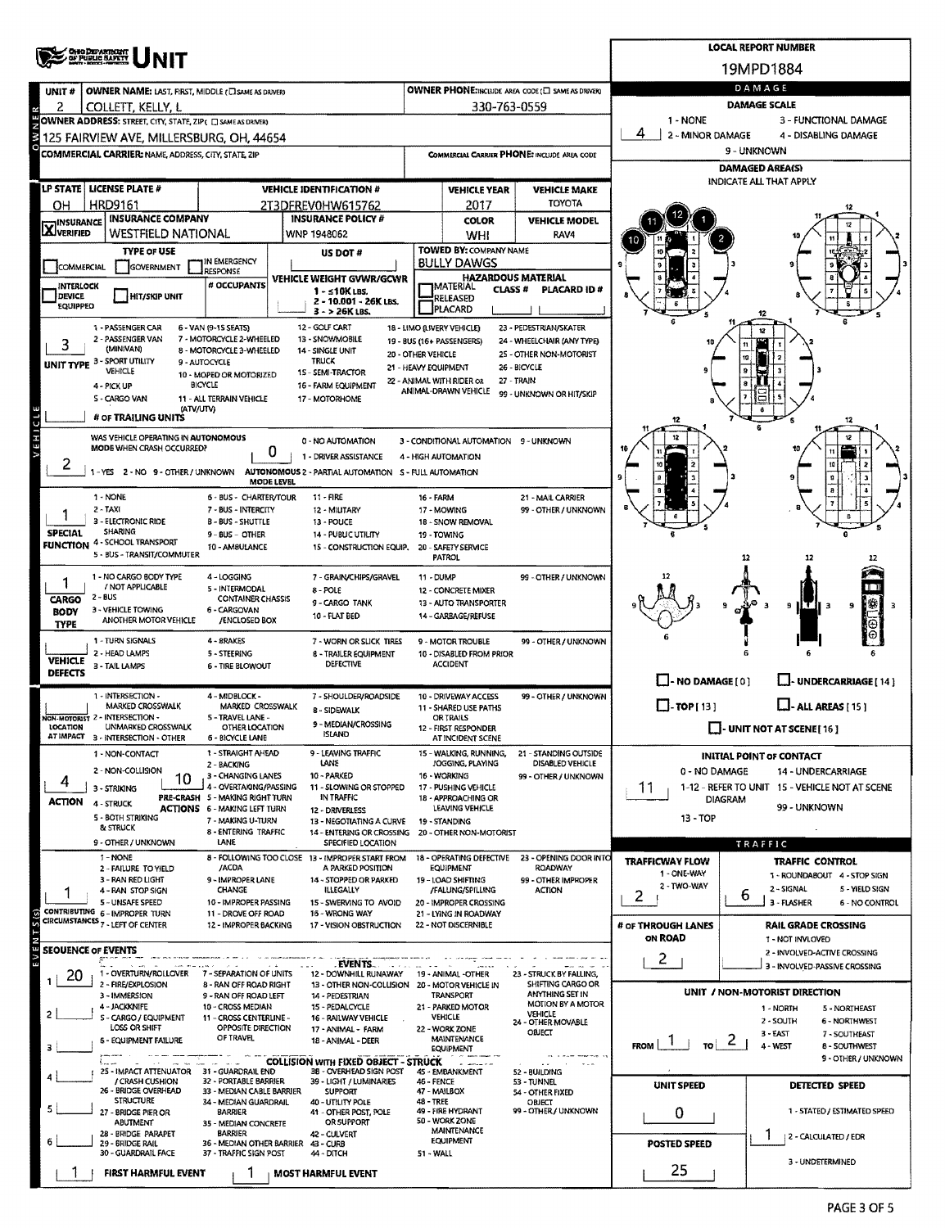|                           |                                                                               |                                                               |                                                                                |                      |                                                                 |                                                         |                               | <b>LOCAL REPORT NUMBER</b>                                         |  |  |  |
|---------------------------|-------------------------------------------------------------------------------|---------------------------------------------------------------|--------------------------------------------------------------------------------|----------------------|-----------------------------------------------------------------|---------------------------------------------------------|-------------------------------|--------------------------------------------------------------------|--|--|--|
|                           | <b>CHEO DEPARTMENT</b><br>OF PUBLIC BAFETT                                    |                                                               |                                                                                |                      |                                                                 |                                                         |                               | 19MPD1884                                                          |  |  |  |
| UNIT#                     | <b>OWNER NAME: LAST, FIRST, MIDDLE (C) SAME AS DRIVER)</b>                    |                                                               |                                                                                |                      |                                                                 | <b>OWNER PHONE:INCLUDE AREA CODE (□ SAME AS DRIVER)</b> |                               | DAMAGE                                                             |  |  |  |
| 2                         | COLLETT, KELLY, L                                                             |                                                               |                                                                                |                      | 330-763-0559                                                    |                                                         |                               | <b>DAMAGE SCALE</b>                                                |  |  |  |
|                           | OWNER ADDRESS: STREET, CITY, STATE, ZIP( I SAME AS DRIVER)                    |                                                               |                                                                                |                      |                                                                 |                                                         | 1 - NONE                      | 3 - FUNCTIONAL DAMAGE                                              |  |  |  |
|                           | 125 FAIRVIEW AVE, MILLERSBURG, OH, 44654                                      |                                                               |                                                                                |                      |                                                                 |                                                         | 4<br>2 - MINOR DAMAGE         | 4 - DISABLING DAMAGE                                               |  |  |  |
|                           | <b>COMMERCIAL CARRIER: NAME, ADDRESS, CITY, STATE, ZIP</b>                    |                                                               |                                                                                |                      |                                                                 | COMMERCIAL CARRIER PHONE: INCLUDE AREA CODE             | 9 - UNKNOWN                   |                                                                    |  |  |  |
|                           |                                                                               |                                                               |                                                                                |                      |                                                                 |                                                         |                               | <b>DAMAGED AREA(S)</b><br>INDICATE ALL THAT APPLY                  |  |  |  |
|                           | LP STATE   LICENSE PLATE #                                                    |                                                               | <b>VEHICLE IDENTIFICATION #</b>                                                |                      | <b>VEHICLE YEAR</b>                                             | <b>VEHICLE MAKE</b>                                     |                               |                                                                    |  |  |  |
| OН                        | HRD9161<br><b>INSURANCE COMPANY</b>                                           |                                                               | 2T3DFREV0HW615762<br><b>INSURANCE POLICY #</b>                                 |                      | 2017                                                            | <b>TOYOTA</b>                                           |                               |                                                                    |  |  |  |
| <b>X</b> INSURANCE        | WESTFIELD NATIONAL                                                            |                                                               | WNP 1948062                                                                    |                      | <b>COLOR</b><br>WHI                                             | <b>VEHICLE MODEL</b><br>RAV4                            |                               |                                                                    |  |  |  |
|                           | <b>TYPE OF USE</b>                                                            |                                                               | US DOT#                                                                        |                      | <b>TOWED BY: COMPANY NAME</b>                                   |                                                         |                               |                                                                    |  |  |  |
| COMMERCIAL                | GOVERNMENT                                                                    | IN EMERGENCY<br><b>RESPONSE</b>                               |                                                                                |                      | <b>BULLY DAWGS</b>                                              |                                                         |                               |                                                                    |  |  |  |
| INTERLOCK                 |                                                                               | # OCCUPANTS                                                   | VEHICLE WEIGHT GVWR/GCWR<br>1 - ≤10K LBS.                                      |                      | <b>HAZARDOUS MATERIAL</b><br><b>IMATERIAL</b><br><b>CLASS #</b> | <b>PLACARD ID#</b>                                      |                               |                                                                    |  |  |  |
| <b>DEVICE</b><br>EQUIPPED | <b>HIT/SKIP UNIT</b>                                                          |                                                               | 2 - 10.001 - 26K LBS.                                                          |                      | <b>RELEASED</b><br>PLACARD                                      |                                                         |                               |                                                                    |  |  |  |
|                           | 1 - PASSENGER CAR                                                             | 6 - VAN (9-1S SEATS)                                          | $3 - 26K$ LBS.<br>12 - GOLF CART                                               |                      | 18 - LIMO (LIVERY VEHICLE)                                      | 23 - PEDESTRIAN/SKATER                                  |                               |                                                                    |  |  |  |
| 3                         | 2 - PASSENGER VAN                                                             | 7 - MOTORCYCLE 2-WHEELED                                      | 13 - SNOWMOBILE                                                                |                      | 19 - BUS (16+ PASSENGERS)                                       | 24 - WHEELCHAIR (ANY TYPE)                              |                               | 12                                                                 |  |  |  |
|                           | (MIN/VAN)<br>UNIT TYPE 3 - SPORT UTILITY                                      | 8 - MOTORCYCLE 3-WHEELED<br>9 - AUTOCYCLE                     | 14 - SINGLE UNIT<br><b>TRUCK</b>                                               | 20 - OTHER VEHICLE   |                                                                 | 25 - OTHER NON-MOTORIST                                 |                               |                                                                    |  |  |  |
|                           | VEHICLE                                                                       | 10 - MOPED OR MOTORIZED                                       | 1S - SEMI-TRACTOR                                                              | 21 - HEAVY EQUIPMENT | 22 - ANIMAL WITH RIDER OR                                       | 26 - BICYCLE<br>27 - TRAIN                              |                               |                                                                    |  |  |  |
|                           | 4 - PICK UP<br>S - CARGO VAN                                                  | BICYCLE<br>11 - ALL TERRAIN VEHICLE                           | 16 - FARM EQUIPMENT<br>17 - MOTORHOME                                          |                      | ANIMAL-DRAWN VEHICLE                                            | 99 - UNKNOWN OR HIT/SKIP                                |                               |                                                                    |  |  |  |
|                           | (ATV/UTV)<br># OF TRAILING UNITS                                              |                                                               |                                                                                |                      |                                                                 |                                                         |                               |                                                                    |  |  |  |
|                           |                                                                               |                                                               |                                                                                |                      |                                                                 |                                                         |                               |                                                                    |  |  |  |
| <b>ARHICIE</b>            | WAS VEHICLE OPERATING IN AUTONOMOUS<br>MODE WHEN CRASH OCCURRED?              | 0                                                             | 0 - NO AUTOMATION                                                              |                      | 3 - CONDITIONAL AUTOMATION 9 - UNKNOWN                          |                                                         |                               |                                                                    |  |  |  |
|                           | 1-YES 2-NO 9-OTHER/UNKNOWN                                                    |                                                               | 1 - DRIVER ASSISTANCE<br>AUTONOMOUS 2 - PARTIAL AUTOMATION S - FULL AUTOMATION |                      | 4 - HIGH AUTOMATION                                             |                                                         |                               |                                                                    |  |  |  |
|                           |                                                                               | MODE LEVEL                                                    |                                                                                |                      |                                                                 |                                                         |                               | 9                                                                  |  |  |  |
|                           | 1 - NONE                                                                      | 6 - BUS - CHARTER/TOUR                                        | 11 - FIRE                                                                      | <b>16 - FARM</b>     |                                                                 | 21 - MAIL CARRIER                                       |                               |                                                                    |  |  |  |
|                           | 2 - TAXI<br>3 - ELECTRONIC RIDE                                               | 7 - BUS - INTERCITY<br><b>B-BUS-SHUTTLE</b>                   | 12 - MILITARY<br>13 - POUCE                                                    |                      | 17 - MOWING<br>18 - SNOW REMOVAL                                | 99 - OTHER / UNKNOWN                                    |                               |                                                                    |  |  |  |
| <b>SPECIAL</b>            | <b>SHARING</b><br><b>FUNCTION 4 - SCHOOL TRANSPORT</b>                        | 9 - BUS - OTHER                                               | 14 - PUBUC UTILITY                                                             |                      | 19 TOWING                                                       |                                                         |                               |                                                                    |  |  |  |
|                           | 5 - BUS - TRANSIT/COMMUTER                                                    | 10 - AMBULANCE                                                | 15 - CONSTRUCTION EQUIP.                                                       |                      | 20 - SAFETY SERVICE<br><b>PATROL</b>                            |                                                         |                               | 12<br>12                                                           |  |  |  |
|                           | 1 - NO CARGO BODY TYPE                                                        | 4 - LOGGING                                                   | 7 - GRAIN/CHIPS/GRAVEL                                                         | 11 - DUMP            |                                                                 | 99 - OTHER / UNKNOWN                                    |                               |                                                                    |  |  |  |
|                           | / NOT APPLICABLE<br>$2 - BUS$                                                 | 5 - INTERMODAL                                                | 8 - POLE                                                                       |                      | 12 - CONCRETE MIXER                                             |                                                         |                               |                                                                    |  |  |  |
| CARGO<br><b>BODY</b>      | 3 - VEHICLE TOWING                                                            | <b>CONTAINER CHASSIS</b><br>6 - CARGOVAN                      | 9 - CARGO TANK<br>10 - FLAT BED                                                |                      | 13 - AUTO TRANSPORTER<br>14 - GARBAGE/REFUSE                    |                                                         |                               | 9<br>в                                                             |  |  |  |
| <b>TYPE</b>               | ANOTHER MOTOR VEHICLE                                                         | /ENCLOSED BOX                                                 |                                                                                |                      |                                                                 |                                                         |                               |                                                                    |  |  |  |
|                           | 1 - TURN SIGNALS<br>2 - HEAD LAMPS                                            | 4 - BRAKES                                                    | 7 - WORN OR SLICK TIRES                                                        |                      | 9 - MOTOR TROUBLE                                               | 99 - OTHER / UNKNOWN                                    |                               |                                                                    |  |  |  |
| <b>VEHICLE</b>            | 3 - TAIL LAMPS                                                                | 5 - STEERING<br>6 - TIRE BLOWOUT                              | 8 - TRAILER EQUIPMENT<br>DEFECTIVE                                             |                      | 10 - DISABLED FROM PRIOR<br><b>ACCIDENT</b>                     |                                                         |                               |                                                                    |  |  |  |
| <b>DEFECTS</b>            |                                                                               |                                                               |                                                                                |                      |                                                                 |                                                         | $\Box$ - NO DAMAGE [ 0 ]      | LI- UNDERCARRIAGE [ 14 ]                                           |  |  |  |
|                           | 1 - INTERSECTION -<br><b>MARKED CROSSWALK</b>                                 | 4 - MIDBLOCK -<br><b>MARKED CROSSWALK</b>                     | 7 - SHOULDER/ROADSIDE                                                          |                      | 10 - DRIVEWAY ACCESS<br>11 - SHARED USE PATHS                   | 99 - OTHER / UNKNOWN                                    | $\Box$ -TOP[13]               | $\Box$ - ALL AREAS [ 15 ]                                          |  |  |  |
|                           | NON-MOTORIST 2 - INTERSECTION -                                               | 5 - TRAVEL LANE -                                             | 8 - SIDEWALK<br>9 - MEDIAN/CROSSING                                            |                      | OR TRAILS                                                       |                                                         |                               |                                                                    |  |  |  |
| LOCATION                  | UNMARKED CROSSWALK<br>AT IMPACT 3 - INTERSECTION - OTHER                      | OTHER LOCATION<br>6 - BICYCLE LANE                            | <b>ISLAND</b>                                                                  |                      | 12 - FIRST RESPONDER<br>AT INCIDENT SCENE                       |                                                         |                               | $\Box$ - UNIT NOT AT SCENE [16]                                    |  |  |  |
|                           | 1 - NON-CONTACT                                                               | 1 - STRAIGHT AHEAD                                            | 9 - LEAVING TRAFFIC                                                            |                      | 15 - WALKING, RUNNING.                                          | 21 - STANDING OUTSIDE                                   |                               | <b>INITIAL POINT OF CONTACT</b>                                    |  |  |  |
|                           | 2 - NON-COLLISION<br>10                                                       | 2 - BACKING<br>3 - CHANGING LANES                             | <b>LANE</b><br>10 - PARKED                                                     |                      | JOGGING, PLAYING<br>16 - WORKING                                | DISABLED VEHICLE<br>99 - OTHER / UNKNOWN                | 0 - NO DAMAGE                 | 14 - UNDERCARRIAGE                                                 |  |  |  |
| 4                         | 3 - STRIKING                                                                  | 4 - OVERTAKING/PASSING<br>PRE-CRASH 5 - MAKING RIGHT TURN     | 11 - SLOWING OR STOPPED<br>IN TRAFFIC                                          |                      | 17 - PUSHING VEHICLE<br>18 - APPROACHING OR                     |                                                         | 11                            | 1-12 - REFER TO UNIT 15 - VEHICLE NOT AT SCENE                     |  |  |  |
| ACTION                    | 4 - STRUCK                                                                    | <b>ACTIONS 6 - MAKING LEFT TURN</b>                           | 12 - DRIVERLESS                                                                |                      | LEAVING VEHICLE                                                 |                                                         |                               | <b>DIAGRAM</b><br>99 - UNKNOWN                                     |  |  |  |
|                           | 5 - BOTH STRIKING<br>& STRUCK                                                 | 7 - MAKING U-TURN<br>8 - ENTERING TRAFFIC                     | 13 - NEGOTIATING A CURVE<br>14 - ENTERING OR CROSSING                          |                      | 19 - STANDING<br>20 - OTHER NON-MOTORIST                        |                                                         | 13 - TOP                      |                                                                    |  |  |  |
|                           | 9 - OTHER / UNKNOWN                                                           | LANE                                                          | SPECIFIED LOCATION                                                             |                      |                                                                 |                                                         |                               | TRAFFIC                                                            |  |  |  |
|                           | 1 - NONE<br>2 - FAILURE TO YIELD                                              | /ACDA                                                         | 8 - FOLLOWING TOO CLOSE 13 - IMPROPER START FROM<br>A PARKED POSITION          |                      | 18 - OPERATING DEFECTIVE<br>EQUIPMENT                           | 23 - OPENING DOOR INTO<br><b>ROADWAY</b>                | <b>TRAFFICWAY FLOW</b>        | <b>TRAFFIC CONTROL</b>                                             |  |  |  |
|                           | 3 - RAN RED LIGHT                                                             | 9 - IMPROPER LANE                                             | 14 - STOPPED OR PARKED                                                         |                      | 19 - LOAD SHIFTING                                              | 99 - OTHER IMPROPER                                     | 1 - ONE-WAY<br>2 - TWO-WAY    | 1 - ROUNDABOUT 4 - STOP SIGN                                       |  |  |  |
|                           | 4 - RAN STOP SIGN<br>5 - UNSAFE SPEED                                         | CHANGE<br>10 - IMPROPER PASSING                               | ILLEGALLY<br>15 - SWERVING TO AVOID                                            |                      | /FALUNG/SPILLING<br>20 - IMPROPER CROSSING                      | <b>ACTION</b>                                           | 2                             | 2 - SIGNAL<br>5 - YIELD SIGN<br>ь<br>3 - FLASHER<br>6 - NO CONTROL |  |  |  |
| $(5)$ $5$ T               | CONTRIBUTING 6 - IMPROPER TURN<br>CIRCUMSTANCES <sub>7</sub> - LEFT OF CENTER | 11 - DROVE OFF ROAD<br>12 - IMPROPER BACKING                  | 16 - WRONG WAY                                                                 |                      | 21 - LYING IN ROADWAY                                           |                                                         |                               |                                                                    |  |  |  |
|                           |                                                                               |                                                               | 17 - VISION OBSTRUCTION                                                        |                      | 22 - NOT DISCERNIBLE                                            |                                                         | # OF THROUGH LANES<br>ON ROAD | <b>RAIL GRADE CROSSING</b><br>1 - NOT INVLOVED                     |  |  |  |
| <b>SEOUENCE OF EVENTS</b> |                                                                               |                                                               |                                                                                |                      |                                                                 |                                                         | 2                             | 2 - INVOLVED-ACTIVE CROSSING                                       |  |  |  |
| 20                        | 1 - OVERTURN/ROLLOVER                                                         | 7 - SEPARATION OF UNITS                                       | . EVENTS<br>12 - DOWNHILL RUNAWAY 19 - ANIMAL -OTHER                           |                      |                                                                 | 23 - STRUCK BY FALLING,                                 |                               | 3 - INVOLVED-PASSIVE CROSSING                                      |  |  |  |
|                           | 2 - FIRE/EXPLOSION<br>3 - IMMERSION                                           | 8 - RAN OFF ROAD RIGHT<br>9 - RAN OFF ROAD LEFT               | 13 - OTHER NON-COLLISION 20 - MOTOR VEHICLE IN<br>14 - PEDESTRIAN              |                      | TRANSPORT                                                       | SHIFTING CARGO OR<br>ANYTHING SET IN                    |                               | UNIT / NON-MOTORIST DIRECTION                                      |  |  |  |
|                           | 4 - JACKKNIFE                                                                 | 10 - CROSS MEDIAN                                             | 15 - PEDALCYCLE                                                                |                      | 21 - PARKED MOTOR                                               | <b>MOTION BY A MOTOR</b><br><b>VEHICLE</b>              |                               | 1 - NORTH<br>5 - NORTHEAST                                         |  |  |  |
|                           | S - CARGO / EQUIPMENT<br>LOSS OR SHIFT                                        | 11 - CROSS CENTERLINE -<br>OPPOSITE DIRECTION                 | 16 - RAILWAY VEHICLE<br>17 - ANIMAL - FARM                                     |                      | VEHICLE<br>22 - WORK ZONE                                       | 24 - OTHER MOVABLE                                      |                               | 2 - SOUTH<br>6 - NORTHWEST                                         |  |  |  |
|                           | <b>6 - EQUIPMENT FAILURE</b>                                                  | OF TRAVEL                                                     | 18 - ANIMAL - DEER                                                             |                      | <b>MAINTENANCE</b><br><b>EQUIPMENT</b>                          | <b>OBJECT</b>                                           | <b>FROM</b><br>TO I           | 3 - EAST<br>7 - SOUTHEAST<br>۷<br>4 - WEST<br><b>B-SOUTHWEST</b>   |  |  |  |
|                           | <b>CALL TOWN</b>                                                              | سالما سراسي                                                   | <b>COLLISION WITH FIXED OBJECT - STRUCK</b>                                    |                      |                                                                 |                                                         |                               | 9 - OTHER / UNKNOWN                                                |  |  |  |
|                           | 25 - IMPACT ATTENUATOR 31 - GUARDRAIL END<br>/ CRASH CUSHION                  | 32 - PORTABLE BARRIER                                         | 38 - OVERHEAD SIGN POST<br>39 - LIGHT / LUMINARIES                             | 46 - FENCE           | 45 - EMBANKMENT                                                 | 52 - BUILDING<br>53 - TUNNEL                            |                               |                                                                    |  |  |  |
|                           | 26 - BRIDGE OVERHEAD<br><b>STRUCTURE</b>                                      | 33 - MEDIAN CABLE BARRIER<br>34 - MEDIAN GUARDRAIL            | <b>SUPPORT</b><br>40 - UTILITY POLE                                            | 48 - TREE            | 47 - MAILBOX                                                    | 54 - OTHER FIXED<br><b>OBJECT</b>                       | UNIT SPEED                    | <b>DETECTED SPEED</b>                                              |  |  |  |
|                           | 27 - BRIDGE PIER OR                                                           | <b>BARRIER</b>                                                | 41 - OTHER POST, POLE                                                          |                      | 49 - FIRE HYDRANT                                               | 99 - OTHER / UNKNOWN                                    | 0                             | 1 - STATED / ESTIMATED SPEED                                       |  |  |  |
|                           | <b>ABUTMENT</b><br>28 - BRIDGE PARAPET                                        | 35 - MEDIAN CONCRETE<br><b>BARRIER</b>                        | OR SUPPORT<br>42 - CULVERT                                                     |                      | 50 - WORK ZONE<br>MAINTENANCE                                   |                                                         |                               | 2 - CALCULATED / EDR                                               |  |  |  |
|                           | 29 - BRIDGE RAIL<br>30 - GUARDRAIL FACE                                       | 36 - MEDIAN OTHER BARRIER 43 - CURB<br>37 - TRAFFIC SIGN POST | 44 - DITCH                                                                     | 51 - WALL            | <b>EQUIPMENT</b>                                                |                                                         | <b>POSTED SPEED</b>           |                                                                    |  |  |  |
|                           | <b>FIRST HARMFUL EVENT</b>                                                    |                                                               | <b>MOST HARMFUL EVENT</b>                                                      |                      |                                                                 |                                                         | 25                            | 3 - UNDETERMINED                                                   |  |  |  |
|                           |                                                                               |                                                               |                                                                                |                      |                                                                 |                                                         |                               |                                                                    |  |  |  |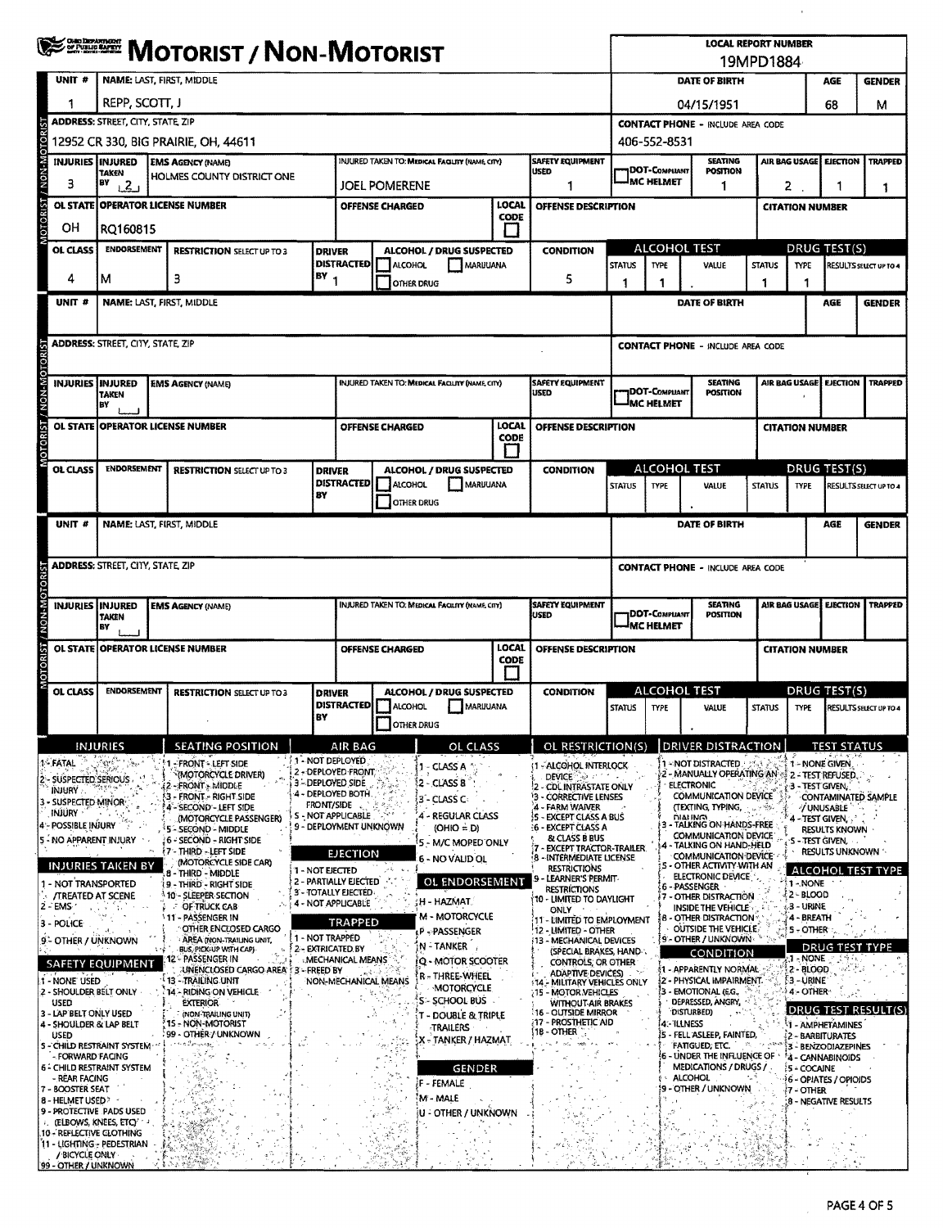|                                                                  |                |                    | <b>WE DESCRIPT / NON-MOTORIST</b>                                           |                                                |                                                     |                        |                                                 |               |                                                                                                                         |                                                       |                                            | <b>LOCAL REPORT NUMBER</b>                                                               | 19MPD1884     |                          |                                                                          |                               |
|------------------------------------------------------------------|----------------|--------------------|-----------------------------------------------------------------------------|------------------------------------------------|-----------------------------------------------------|------------------------|-------------------------------------------------|---------------|-------------------------------------------------------------------------------------------------------------------------|-------------------------------------------------------|--------------------------------------------|------------------------------------------------------------------------------------------|---------------|--------------------------|--------------------------------------------------------------------------|-------------------------------|
| UNIT #                                                           |                |                    | <b>NAME: LAST, FIRST, MIDDLE</b>                                            |                                                |                                                     |                        |                                                 |               |                                                                                                                         |                                                       |                                            | DATE OF BIRTH                                                                            |               |                          | AGE                                                                      | <b>GENDER</b>                 |
| 1                                                                |                | REPP, SCOTT, J     |                                                                             |                                                |                                                     |                        |                                                 |               |                                                                                                                         |                                                       |                                            | 04/15/1951                                                                               |               |                          | 68                                                                       | м                             |
|                                                                  |                |                    | <b>ADDRESS: STREET, CITY, STATE, ZIP</b>                                    |                                                |                                                     |                        |                                                 |               |                                                                                                                         | <b>CONTACT PHONE - INCLUDE AREA CODE</b>              |                                            |                                                                                          |               |                          |                                                                          |                               |
| <b>OTORIS</b>                                                    |                |                    | 12952 CR 330, BIG PRAIRIE, OH, 44611                                        |                                                |                                                     |                        |                                                 |               |                                                                                                                         |                                                       | 406-552-8531                               |                                                                                          |               |                          |                                                                          |                               |
| <b>M-NON</b><br>INJURIES INJURED                                 | TAKEN          |                    | <b>EMS AGENCY (NAME)</b><br>HOLMES COUNTY DISTRICT ONE                      | INJURED TAKEN TO: MEDICAL FACILITY (NAME CITY) |                                                     |                        | <b>SAFETY EQUIPMENT</b><br><b>USED</b>          |               | DOT-COMPLIANT                                                                                                           | <b>SEATING</b><br><b>POSITION</b>                     |                                            | AIR BAG USAGE<br>EJECTION<br><b>TRAPPED</b>                                              |               |                          |                                                                          |                               |
| 3                                                                | 8Y             | 1.21               |                                                                             | JOEL POMERENE                                  |                                                     |                        |                                                 |               | <b>MC HELMET</b>                                                                                                        | 1                                                     |                                            | $\mathbf{z}$<br>-1                                                                       |               |                          |                                                                          |                               |
| <b>OTORIST</b>                                                   |                |                    | OL STATE OPERATOR LICENSE NUMBER                                            |                                                |                                                     | <b>OFFENSE CHARGED</b> |                                                 | LOCAL<br>CODE | OFFENSE DESCRIPTION                                                                                                     |                                                       |                                            |                                                                                          |               | <b>CITATION NUMBER</b>   |                                                                          |                               |
| OН                                                               |                | RQ160815           |                                                                             |                                                |                                                     |                        |                                                 |               |                                                                                                                         |                                                       |                                            |                                                                                          |               |                          |                                                                          |                               |
| <b>OL CLASS</b>                                                  |                | <b>ENDORSEMENT</b> | <b>RESTRICTION SELECT UP TO 3</b>                                           |                                                | <b>DRIVER</b><br><b>DISTRACTED</b>                  | ALCOHOL                | <b>ALCOHOL / DRUG SUSPECTED</b>                 | MARUUANA      | <b>CONDITION</b>                                                                                                        | <b>ALCOHOL TEST</b><br><b>STATUS</b><br>TYPE<br>VALUE |                                            |                                                                                          | <b>STATUS</b> | <b>TYPE</b>              | DRUG TEST(S)                                                             | <b>RESULTS SELECT UP TO 4</b> |
| 4                                                                | м              |                    | з                                                                           |                                                | $18Y_1$                                             |                        | OTHER DRUG                                      |               | 5                                                                                                                       |                                                       | 1                                          |                                                                                          | 1             | 1                        |                                                                          |                               |
| UNIT <sup>#</sup>                                                |                |                    | NAME: LAST, FIRST, MIDDLE                                                   |                                                |                                                     |                        |                                                 |               |                                                                                                                         |                                                       |                                            | DATE OF BIRTH                                                                            |               |                          | <b>AGE</b>                                                               | <b>GENDER</b>                 |
|                                                                  |                |                    |                                                                             |                                                |                                                     |                        |                                                 |               |                                                                                                                         |                                                       |                                            |                                                                                          |               |                          |                                                                          |                               |
|                                                                  |                |                    | <b>ADDRESS: STREET, CITY, STATE, ZIP</b>                                    |                                                |                                                     |                        |                                                 |               |                                                                                                                         |                                                       |                                            | <b>CONTACT PHONE - INCLUDE AREA CODE</b>                                                 |               |                          |                                                                          |                               |
| NON-MOTOR<br><b>INJURIES INJURED</b>                             |                |                    | <b>EMS AGENCY (NAME)</b>                                                    |                                                |                                                     |                        | INJURED TAKEN TO: MEDICAL FACILITY (NAME, CITY) |               | <b>SAFETY EQUIPMENT</b>                                                                                                 |                                                       |                                            | <b>SEATING</b>                                                                           |               |                          |                                                                          | <b>TRAPPED</b>                |
|                                                                  | BY             | TAKEN              |                                                                             |                                                |                                                     |                        |                                                 |               | USED                                                                                                                    |                                                       | <b>IDOT-COMPLIANT</b><br><b>IMC HELMET</b> | <b>POSITION</b>                                                                          |               | AIR BAG USAGE EJECTION   |                                                                          |                               |
|                                                                  |                |                    | OL STATE OPERATOR LICENSE NUMBER                                            |                                                |                                                     | OFFENSE CHARGED        |                                                 | LOCAL         | <b>OFFENSE DESCRIPTION</b>                                                                                              |                                                       |                                            |                                                                                          |               | <b>CITATION NUMBER</b>   |                                                                          |                               |
| <b>MOTORIST</b>                                                  |                |                    |                                                                             |                                                |                                                     |                        |                                                 | <b>CODE</b>   |                                                                                                                         |                                                       |                                            |                                                                                          |               |                          |                                                                          |                               |
| <b>OL CLASS</b>                                                  |                | <b>ENDORSEMENT</b> | <b>RESTRICTION SELECT UP TO 3</b>                                           |                                                | <b>DRIVER</b>                                       |                        | ALCOHOL / DRUG SUSPECTED                        |               | <b>CONDITION</b>                                                                                                        |                                                       | ALCOHOL TEST                               |                                                                                          |               |                          | <b>DRUG TEST(S)</b>                                                      |                               |
|                                                                  |                |                    |                                                                             | BΥ                                             | <b>DISTRACTED</b>                                   | ALCOHOL                |                                                 | MARUUANA      |                                                                                                                         | <b>STATUS</b>                                         | <b>TYPE</b>                                | <b>VALUE</b>                                                                             | <b>STATUS</b> | <b>TYPE</b>              |                                                                          | RESULTS SELECT UP TO 4        |
|                                                                  |                |                    |                                                                             |                                                |                                                     |                        | OTHER DRUG                                      |               |                                                                                                                         |                                                       |                                            |                                                                                          |               |                          |                                                                          |                               |
| UNIT #                                                           |                |                    | NAME: LAST, FIRST, MIDDLE                                                   |                                                |                                                     |                        |                                                 |               |                                                                                                                         |                                                       |                                            | DATE OF BIRTH                                                                            |               |                          | AGE                                                                      | <b>GENDER</b>                 |
|                                                                  |                |                    | <b>ADDRESS: STREET, CITY, STATE, ZIP</b>                                    |                                                |                                                     |                        |                                                 |               |                                                                                                                         |                                                       |                                            | <b>CONTACT PHONE - INCLUDE AREA CODE</b>                                                 |               |                          |                                                                          |                               |
| NON-MOTOR                                                        |                |                    |                                                                             |                                                |                                                     |                        |                                                 |               |                                                                                                                         |                                                       |                                            |                                                                                          |               |                          |                                                                          |                               |
| <b>INJURIES INJURED</b>                                          | <b>TAKEN</b>   |                    | <b>EMS AGENCY (NAME)</b>                                                    |                                                |                                                     |                        | INJURED TAKEN TO: MEDICAL FACILITY (NAME, CITY) |               | <b>SAFETY EQUIPMENT</b><br><b>SEATING</b><br>AIR BAG USAGE EJECTION<br><b>IDOT-COMPLIANT</b><br><b>USED</b><br>POSITION |                                                       |                                            |                                                                                          |               |                          | <b>TRAPPED</b>                                                           |                               |
|                                                                  | EΥ             |                    |                                                                             |                                                |                                                     |                        |                                                 |               | <b>IMC HELMET</b>                                                                                                       |                                                       |                                            |                                                                                          |               |                          |                                                                          |                               |
| <b>ISBO.</b><br><b>OL STATE</b>                                  |                |                    | <b>OPERATOR LICENSE NUMBER</b>                                              |                                                | LOCAL<br>OFFENSE CHARGED<br>CODE                    |                        |                                                 |               |                                                                                                                         | OFFENSE DESCRIPTION<br><b>CITATION NUMBER</b>         |                                            |                                                                                          |               |                          |                                                                          |                               |
| <b>OL CLASS</b>                                                  |                | <b>ENDORSEMENT</b> | <b>RESTRICTION SELECT UP TO 3</b>                                           |                                                | <b>DRIVER</b>                                       |                        | ALCOHOL / DRUG SUSPECTED                        |               | <b>CONDITION</b>                                                                                                        | <b>ALCOHOL TEST</b>                                   |                                            |                                                                                          |               | DRUG TEST(S)             |                                                                          |                               |
|                                                                  |                |                    |                                                                             |                                                | <b>DISTRACTED</b>                                   | ALCOHOL                | <b>MARUUANA</b>                                 |               |                                                                                                                         | <b>STATUS</b>                                         | <b>TYPE</b>                                | <b>VALUE</b>                                                                             | <b>STATUS</b> | <b>TYPE</b>              |                                                                          | RESULTS SELECT UP TO 4        |
|                                                                  |                |                    |                                                                             | BY                                             |                                                     | $\Box$ OTHER DRUG      |                                                 |               |                                                                                                                         |                                                       |                                            |                                                                                          |               |                          |                                                                          |                               |
|                                                                  | INJURIES       |                    | <b>SEATING POSITION</b>                                                     |                                                | AIR BAG<br>11 - NOT DEPLOYED                        |                        | OL CLASS                                        |               | OL RESTRICTION(S)                                                                                                       |                                                       |                                            | DRIVER DISTRACTION                                                                       |               |                          | <b>TEST STATUS</b>                                                       |                               |
| 1 - FATAL<br>2 - SUSPECTED SERIOUS                               |                |                    | - FRONT - LEFT SIDE<br>(MOTORCYCLE DRIVER)                                  |                                                | 2 - DEPLOYED FRONT<br>3 - DEPLOYED SIDE             |                        | 1 - CLASS A<br>12 - CLASS B                     |               | <b>1 - ALCOHOL INTERLOCK</b><br>DEVICE PRODUCTS                                                                         |                                                       |                                            | 1 - NOT DISTRACTED<br>2 - MANUALLY OPERATING AN # 2 - TEST REFUSED.<br><b>ELECTRONIC</b> |               |                          | 1 - NONE GIVEN.                                                          |                               |
| INJURY : .<br>3 - SUSPECTED MINOR                                |                |                    | - FRONT - MIDDLE<br>3 - FRONT - RIGHT SIDE<br><b>1 - SECOND - LEFT SIDE</b> |                                                | 4 - DEPLOYED BOTH<br><b>FRONT/SIDE</b>              |                        | 3 - CLASS C-                                    |               | 2 - CDL INTRASTATE ONLY<br>3 - CORRECTIVE LENSES<br>4 - FARM WAIVER                                                     |                                                       |                                            | COMMUNICATION DEVICE<br>(TEXTING, TYPING,                                                | 75s           | 3 - TEST GIVEN.          |                                                                          | CONTAMINATED SAMPLE           |
| <b>INJURY</b><br>4 - POSSIBLE INJURY                             |                |                    | (MOTORCYCLE PASSENGER)<br>5 - SECOND - MIDDLE                               |                                                | S - NOT APPLICABLE<br>9 - DEPLOYMENT UNKNOWN        |                        | - REGULAR CLASS<br>$(OHIO = D)$                 |               | <b>S - EXCEPT CLASS A BUS</b><br><b>16 - EXCEPT CLASS A</b>                                                             |                                                       |                                            | DIALING<br>TALKING ON HANDS-FREE                                                         |               | 4 - TEST GIVEN,          | / UNUSABLE<br><b>RESULTS KNOWN</b>                                       |                               |
| 5 - NO APPARENT INJURY                                           |                |                    | 6 - SECOND - RIGHT SIDE<br><b>17 - THIRD - LEFT SIDE</b>                    |                                                | <b>EJECTION</b>                                     |                        | 5 - M/C MOPED ONLY                              |               | & CLASS B BUS<br><b>EXCEPT TRACTOR-TRAILER.</b>                                                                         |                                                       |                                            | COMMUNICATION DEVICE<br>- TALKING ON HAND-HELD                                           |               | S - TEST GIVEN.          | <b>RESULTS UNKNOWN</b>                                                   |                               |
| <b>INJURIES TAKEN BY</b>                                         |                |                    | (MOTORCYCLE SIDE CAR)<br>8 - Thìrd - Middle                                 | 1 - NOT EIECTED                                |                                                     |                        | 6 - NO VALID OL                                 |               | 8 - INTERMEDIATE LICENSE<br><b>RESTRICTIONS</b>                                                                         |                                                       |                                            | COMMUNICATION DEVICE<br>OTHER ACTIVITY WITH AN                                           |               |                          |                                                                          | ALCOHOL TEST TYPE             |
| 1 - NOT TRANSPORTED<br><b><i>ITREATED AT SCENE</i></b>           |                |                    | 9 - THIRD - RIGHT SIDE<br>10 - SLEEPER SECTION                              |                                                | <b>2 - PARTIALLY EJECTED</b><br>3 - TOTALLY EJECTED |                        | OL ENDORSEMENT                                  |               | - LEARNER'S PERMIT-<br>RESTRICTIONS<br>10 - LIMITED TO DAYLIGHT                                                         |                                                       |                                            | ELECTRONIC DEVICE<br>6-PASSENGER<br>7 - OTHER DISTRACTION                                |               | 1 - NONE<br>2 - BLOOD    |                                                                          |                               |
| $2 - EMS$                                                        |                |                    | OF TRUCK CAB<br>11 - PASSENGER IN                                           |                                                | 4 - NOT APPLICABLE                                  |                        | H - HAZMAT<br><b>M - MOTORCYCLE</b>             |               | ONLY<br>11 - LIMITED TO EMPLOYMENT                                                                                      |                                                       |                                            | INSIDE THE VEHICLE<br>8 - OTHER DISTRACTION <sup>.</sup>                                 |               | .3 - URINE<br>4 - BREATH |                                                                          |                               |
| 3 - POLICE<br>9 - OTHER / UNKNOWN                                |                |                    | OTHER ENCLOSED CARGO<br>AREA (NON-TRAILING UNIT,                            |                                                | TRAPPED<br>1 - NOT TRAPPED                          |                        | P - PASSENGER                                   |               | 12 - LIMITED - OTHER<br><b>13 - MECHANICAL DEVICES</b>                                                                  |                                                       |                                            | OUTSIDE THE VEHICLE.<br>9 - OTHER / UNKNOWN                                              |               | 5 - OTHER                |                                                                          |                               |
| <b>SAFETY EQUIPMENT</b>                                          |                |                    | BUS, PICK-UP WITH CAPI-<br>12 - PASSENGER IN                                |                                                | 2 - EXTRICATED BY<br><b>MECHANICAL MEANS</b>        |                        | N-TANKER<br><b>Q - MOTOR SCOOTER</b>            |               | (SPECIAL BRAKES, HAND :<br>CONTROLS, OR OTHER                                                                           |                                                       |                                            | CONDITION                                                                                |               |                          | <b>1-NONE</b> 35%                                                        | DRUG TEST TYPE                |
| 1 - NONE' USED                                                   |                |                    | UNENCLOSED CARGO AREA : 3 - FREED BY<br>13 - TRAILING UNIT                  |                                                | NON-MECHANICAL MEANS                                |                        | R - THREE-WHEEL<br>MOTORCYCLE                   |               | <b>ADAPTIVE DEVICES</b><br>14 - MILITARY VEHICLES ONLY                                                                  |                                                       |                                            | <b>11 - APPARENTLY NORMAL</b><br>š2 - PHYSIČAL IMPAIRMENT.                               |               | $2 - BLOOD$<br>3 - URINE |                                                                          |                               |
| 2 - SHOULDER BELT ONLY<br><b>USED</b>                            |                |                    | 14 - RIDING ON VEHICLE<br><b>EXTERIOR</b>                                   |                                                |                                                     |                        | S - SCHOOL BUS -                                |               | <b>15 - MOTOR VEHICLES</b><br><b>WITHOUT AIR BRAKES</b><br>16 - OUTSIDE MIRROR                                          |                                                       |                                            | 3 - EMOTIONAL (E.G.,<br><b>DEPRESSED, ANGRY,</b><br>DISTURBED)                           |               | 4 - OTHER-               |                                                                          | DRUG TEST RESULT(S)           |
| 3 - LAP BELT ONLY USED<br>4 - SHOULDER & LAP BELT<br><b>USED</b> |                |                    | (NON-TRAILING UNIT)<br>15 - NON-MOTORIST<br>99 - OTHER / UNKNOWN            |                                                |                                                     |                        | - DOUBLE & TRIPLE<br>TRAILERS                   |               | <b>17 - PROSTHETIC AID</b><br>18 - OTHER                                                                                |                                                       | 4: ILLNESS                                 | IS - FELL ASLEEP, FAINTED,                                                               |               |                          | 1 - AMPHETAMINES                                                         |                               |
| 5 - CHILD RESTRAINT SYSTEM<br>- FORWARD FACING                   |                |                    | n Zariyongij                                                                |                                                |                                                     |                        | X - TANKER / HAZMAT                             |               |                                                                                                                         |                                                       |                                            | <b>FATIGUED, ETC.</b><br>- UNDER THE INFLUENCE OF                                        |               |                          | 2 - BARBITURATES<br>3 - BENZODIAZEPINES<br><sup>7</sup> 4 - CANNABINOIDS |                               |
| 6 - CHILD RESTRAINT SYSTEM<br>- REAR FACING                      |                |                    |                                                                             |                                                |                                                     |                        | GENDER                                          |               |                                                                                                                         |                                                       |                                            | <b>MEDICATIONS / DRUGS /</b><br>ALCOHOL                                                  |               | <b>5-COCAINE</b>         | 6 OPIATES / OPIOIDS                                                      |                               |
| 7 - BOOSTER SEAT<br>8 - HELMET USED *                            |                |                    |                                                                             |                                                |                                                     |                        | F - FEMALE<br>M - MALE                          |               |                                                                                                                         |                                                       |                                            | 9 - OTHER / UNKNOWN                                                                      |               | (7 - OTHER               | 8 - NEGATIVE RESULTS                                                     |                               |
| 9 - PROTECTIVE PADS USED<br>(ELBOWS, KNEES, ETC)                 |                |                    |                                                                             |                                                |                                                     | 墅                      | U - OTHER / UNKNOWN                             |               |                                                                                                                         |                                                       |                                            |                                                                                          |               |                          |                                                                          |                               |
| .10 - REFLECTIVE CLOTHING<br>11 - LIGHTING - PEDESTRIAN          |                |                    |                                                                             |                                                |                                                     |                        |                                                 |               |                                                                                                                         |                                                       |                                            |                                                                                          |               |                          |                                                                          |                               |
| 99 - OTHER / UNKNOWN                                             | / BICYCLE ONLY |                    |                                                                             |                                                |                                                     |                        |                                                 |               |                                                                                                                         |                                                       |                                            |                                                                                          |               |                          |                                                                          |                               |

 $\hat{\boldsymbol{\theta}}$ 

 $\mathcal{A}^{\mathcal{A}}$